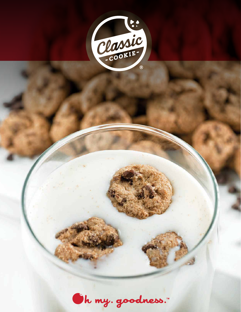

Oh my. goodness.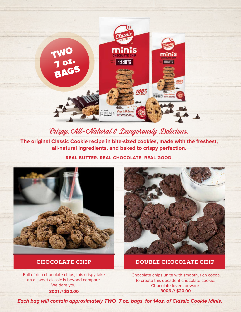

## Brispy, CAU-CNatural & Dangerously Delicious.

**The original Classic Cookie recipe in bite-sized cookies, made with the freshest, all-natural ingredients, and baked to crispy perfection.** 

**REAL BUTTER. REAL CHOCOLATE. REAL GOOD.**



Full of rich chocolate chips, this crispy take on a sweet classic is beyond compare. We dare you. **3001 // \$20.00**



### **CHOCOLATE CHIP DOUBLE CHOCOLATE CHIP**

Chocolate chips unite with smooth, rich cocoa to create this decadent chocolate cookie. Chocolate lovers beware. **3006 // \$20.00**

**Each bag will contain approximately TWO 7 oz. bags for 14oz. of Classic Cookie Minis. Each bag will contain approximately TWO 7 oz. bags for 14oz. of Classic Cookie Minis.**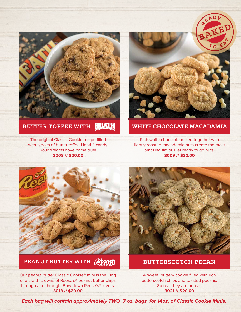

#### **HEATH BUTTER TOFFEE WITH**

The original Classic Cookie recipe filled with pieces of butter toffee Heath<sup>®</sup> candy. Your dreams have come true! **3008 // \$20.00**



#### **WHITE CHOCOLATE MACADAMIA**

Rich white chocolate mixed together with lightly roasted macadamia nuts create the most amazing flavor. Get ready to go nuts. **3009 // \$20.00**



**PEANUT BUTTER WITH** COOCY

Our peanut butter Classic Cookie® mini is the King of all, with crowns of Reese's® peanut butter chips through and through. Bow down Reese's® lovers. **3013 // \$20.00**



**BUTTERSCOTCH PECAN**

A sweet, buttery cookie filled with rich butterscotch chips and toasted pecans. So real they are unreal! **3021 // \$20.00**

**Each bag will contain approximately TWO 7 oz. bags for 14oz. of Classic Cookie Minis. Each bag will contain approximately TWO 7 oz. bags for 14oz. of Classic Cookie Minis.**